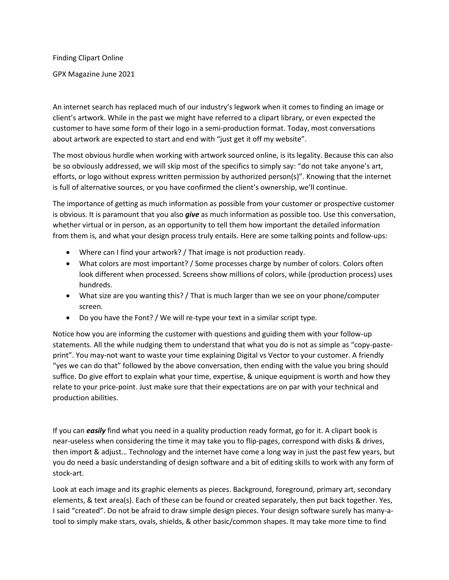Finding Clipart Online

GPX Magazine June 2021

An internet search has replaced much of our industry's legwork when it comes to finding an image or client's artwork. While in the past we might have referred to a clipart library, or even expected the customer to have some form of their logo in a semi-production format. Today, most conversations about artwork are expected to start and end with "just get it off my website".

The most obvious hurdle when working with artwork sourced online, is its legality. Because this can also be so obviously addressed, we will skip most of the specifics to simply say: "do not take anyone's art, efforts, or logo without express written permission by authorized person(s)". Knowing that the internet is full of alternative sources, or you have confirmed the client's ownership, we'll continue.

The importance of getting as much information as possible from your customer or prospective customer is obvious. It is paramount that you also *give* as much information as possible too. Use this conversation, whether virtual or in person, as an opportunity to tell them how important the detailed information from them is, and what your design process truly entails. Here are some talking points and follow-ups:

- Where can I find your artwork? / That image is not production ready.
- What colors are most important? / Some processes charge by number of colors. Colors often look different when processed. Screens show millions of colors, while (production process) uses hundreds.
- What size are you wanting this? / That is much larger than we see on your phone/computer screen.
- Do you have the Font? / We will re-type your text in a similar script type.

Notice how you are informing the customer with questions and guiding them with your follow-up statements. All the while nudging them to understand that what you do is not as simple as "copy-pasteprint". You may-not want to waste your time explaining Digital vs Vector to your customer. A friendly "yes we can do that" followed by the above conversation, then ending with the value you bring should suffice. Do give effort to explain what your time, expertise, & unique equipment is worth and how they relate to your price-point. Just make sure that their expectations are on par with your technical and production abilities.

If you can *easily* find what you need in a quality production ready format, go for it. A clipart book is near-useless when considering the time it may take you to flip-pages, correspond with disks & drives, then import & adjust… Technology and the internet have come a long way in just the past few years, but you do need a basic understanding of design software and a bit of editing skills to work with any form of stock-art.

Look at each image and its graphic elements as pieces. Background, foreground, primary art, secondary elements, & text area(s). Each of these can be found or created separately, then put back together. Yes, I said "created". Do not be afraid to draw simple design pieces. Your design software surely has many-atool to simply make stars, ovals, shields, & other basic/common shapes. It may take more time to find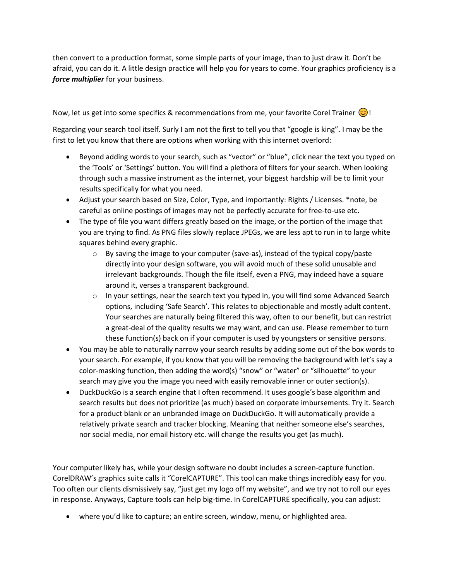then convert to a production format, some simple parts of your image, than to just draw it. Don't be afraid, you can do it. A little design practice will help you for years to come. Your graphics proficiency is a *force multiplier* for your business.

Now, let us get into some specifics & recommendations from me, your favorite Corel Trainer  $\odot$ !

Regarding your search tool itself. Surly I am not the first to tell you that "google is king". I may be the first to let you know that there are options when working with this internet overlord:

- Beyond adding words to your search, such as "vector" or "blue", click near the text you typed on the 'Tools' or 'Settings' button. You will find a plethora of filters for your search. When looking through such a massive instrument as the internet, your biggest hardship will be to limit your results specifically for what you need.
- Adjust your search based on Size, Color, Type, and importantly: Rights / Licenses. \*note, be careful as online postings of images may not be perfectly accurate for free-to-use etc.
- The type of file you want differs greatly based on the image, or the portion of the image that you are trying to find. As PNG files slowly replace JPEGs, we are less apt to run in to large white squares behind every graphic.
	- $\circ$  By saving the image to your computer (save-as), instead of the typical copy/paste directly into your design software, you will avoid much of these solid unusable and irrelevant backgrounds. Though the file itself, even a PNG, may indeed have a square around it, verses a transparent background.
	- $\circ$  In your settings, near the search text you typed in, you will find some Advanced Search options, including 'Safe Search'. This relates to objectionable and mostly adult content. Your searches are naturally being filtered this way, often to our benefit, but can restrict a great-deal of the quality results we may want, and can use. Please remember to turn these function(s) back on if your computer is used by youngsters or sensitive persons.
- You may be able to naturally narrow your search results by adding some out of the box words to your search. For example, if you know that you will be removing the background with let's say a color-masking function, then adding the word(s) "snow" or "water" or "silhouette" to your search may give you the image you need with easily removable inner or outer section(s).
- DuckDuckGo is a search engine that I often recommend. It uses google's base algorithm and search results but does not prioritize (as much) based on corporate imbursements. Try it. Search for a product blank or an unbranded image on DuckDuckGo. It will automatically provide a relatively private search and tracker blocking. Meaning that neither someone else's searches, nor social media, nor email history etc. will change the results you get (as much).

Your computer likely has, while your design software no doubt includes a screen-capture function. CorelDRAW's graphics suite calls it "CorelCAPTURE". This tool can make things incredibly easy for you. Too often our clients dismissively say, "just get my logo off my website", and we try not to roll our eyes in response. Anyways, Capture tools can help big-time. In CorelCAPTURE specifically, you can adjust:

• where you'd like to capture; an entire screen, window, menu, or highlighted area.